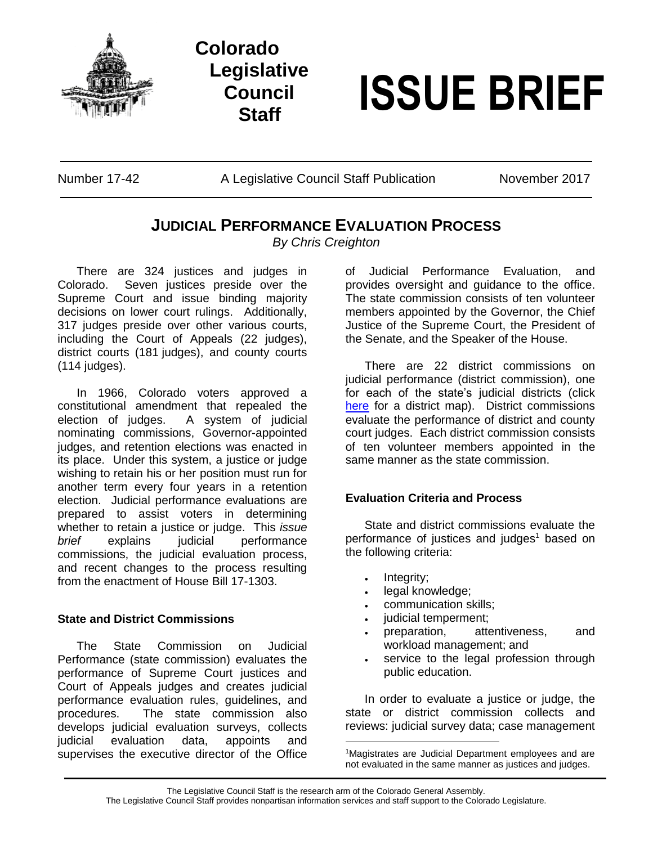

# **Colorado Legislative Council**



Number 17-42 A Legislative Council Staff Publication November 2017

# **JUDICIAL PERFORMANCE EVALUATION PROCESS**

*By Chris Creighton*

There are 324 justices and judges in<br>Colorado. Seven justices preside over the Seven justices preside over the Supreme Court and issue binding majority decisions on lower court rulings. Additionally, 317 judges preside over other various courts, including the Court of Appeals (22 judges), district courts (181 judges), and county courts (114 judges).

In 1966, Colorado voters approved a constitutional amendment that repealed the election of judges. A system of judicial nominating commissions, Governor-appointed judges, and retention elections was enacted in its place. Under this system, a justice or judge wishing to retain his or her position must run for another term every four years in a retention election. Judicial performance evaluations are prepared to assist voters in determining whether to retain a justice or judge. This *issue brief* explains judicial performance commissions, the judicial evaluation process, and recent changes to the process resulting from the enactment of House Bill 17-1303.

## **State and District Commissions**

The State Commission on Judicial Performance (state commission) evaluates the performance of Supreme Court justices and Court of Appeals judges and creates judicial performance evaluation rules, guidelines, and procedures. The state commission also develops judicial evaluation surveys, collects judicial evaluation data, appoints and supervises the executive director of the Office

of Judicial Performance Evaluation, and provides oversight and guidance to the office. The state commission consists of ten volunteer members appointed by the Governor, the Chief Justice of the Supreme Court, the President of the Senate, and the Speaker of the House.

There are 22 district commissions on judicial performance (district commission), one for each of the state's judicial districts (click [here](https://www.courts.state.co.us/Courts/Map.cfm) for a district map). District commissions evaluate the performance of district and county court judges.Each district commission consists of ten volunteer members appointed in the same manner as the state commission.

## **Evaluation Criteria and Process**

State and district commissions evaluate the performance of justices and judges<sup>1</sup> based on the following criteria:

- Integrity;
- legal knowledge;
- communication skills;
- judicial temperment;
- preparation, attentiveness, and workload management; and
- service to the legal profession through public education.

In order to evaluate a justice or judge, the state or district commission collects and reviews: judicial survey data; case management

The Legislative Council Staff is the research arm of the Colorado General Assembly. The Legislative Council Staff provides nonpartisan information services and staff support to the Colorado Legislature.

 $\overline{a}$ 

<sup>&</sup>lt;sup>1</sup>Magistrates are Judicial Department employees and are not evaluated in the same manner as justices and judges.